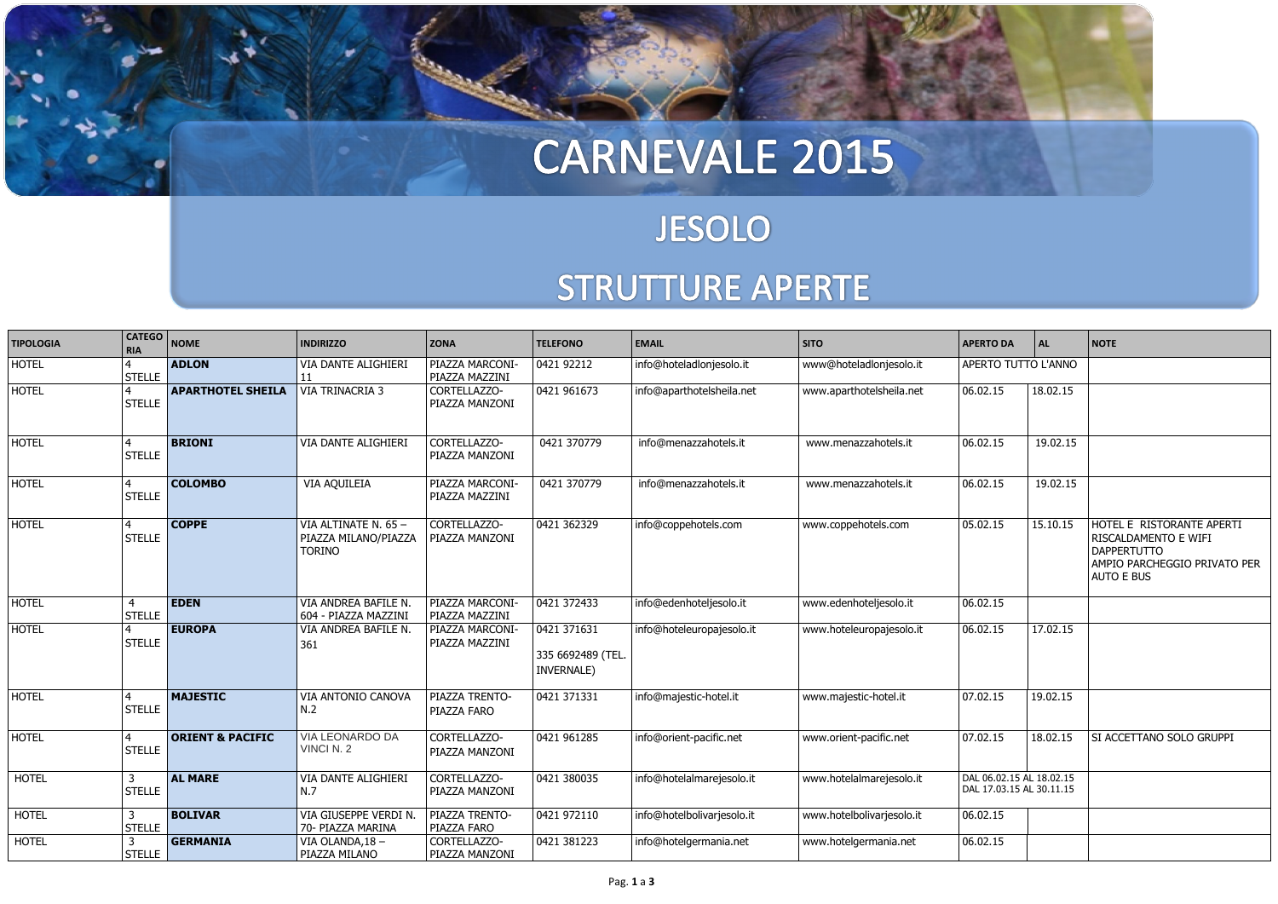## CARNEVALE 2015

#### **JESOLO** STRUTTURE APERTE



| <b>TIPOLOGIA</b> | <b>CATEGO</b><br><b>RIA</b>     | <b>NOME</b>                 | <b>INDIRIZZO</b>                                             | <b>ZONA</b>                              | <b>TELEFONO</b>                                | <b>EMAIL</b>               | <b>SITO</b>               | <b>APERTO DA</b>                                     | AL       | <b>NOTE</b>                                                                                                                  |
|------------------|---------------------------------|-----------------------------|--------------------------------------------------------------|------------------------------------------|------------------------------------------------|----------------------------|---------------------------|------------------------------------------------------|----------|------------------------------------------------------------------------------------------------------------------------------|
| <b>HOTEL</b>     | $\overline{4}$<br><b>STELLE</b> | <b>ADLON</b>                | VIA DANTE ALIGHIERI<br>11                                    | PIAZZA MARCONI-<br>PIAZZA MAZZINI        | 0421 92212                                     | info@hoteladlonjesolo.it   | www@hoteladlonjesolo.it   | APERTO TUTTO L'ANNO                                  |          |                                                                                                                              |
| <b>HOTEL</b>     | $\overline{4}$<br><b>STELLE</b> | <b>APARTHOTEL SHEILA</b>    | VIA TRINACRIA 3                                              | CORTELLAZZO-<br>PIAZZA MANZONI           | 0421 961673                                    | info@aparthotelsheila.net  | www.aparthotelsheila.net  | 06.02.15                                             | 18.02.15 |                                                                                                                              |
| <b>HOTEL</b>     | $\overline{4}$<br><b>STELLE</b> | <b>BRIONI</b>               | <b>VIA DANTE ALIGHIERI</b>                                   | CORTELLAZZO-<br>PIAZZA MANZONI           | 0421 370779                                    | info@menazzahotels.it      | www.menazzahotels.it      | 06.02.15                                             | 19.02.15 |                                                                                                                              |
| <b>HOTEL</b>     | $\overline{4}$<br><b>STELLE</b> | <b>COLOMBO</b>              | VIA AQUILEIA                                                 | PIAZZA MARCONI-<br>PIAZZA MAZZINI        | 0421 370779                                    | info@menazzahotels.it      | www.menazzahotels.it      | 06.02.15                                             | 19.02.15 |                                                                                                                              |
| <b>HOTEL</b>     | $\overline{4}$<br><b>STELLE</b> | <b>COPPE</b>                | VIA ALTINATE N. 65-<br>PIAZZA MILANO/PIAZZA<br><b>TORINO</b> | CORTELLAZZO-<br>PIAZZA MANZONI           | 0421 362329                                    | info@coppehotels.com       | www.coppehotels.com       | 05.02.15                                             | 15.10.15 | HOTEL E RISTORANTE APERTI<br>RISCALDAMENTO E WIFI<br><b>DAPPERTUTTO</b><br>AMPIO PARCHEGGIO PRIVATO PER<br><b>AUTO E BUS</b> |
| <b>HOTEL</b>     | $\overline{4}$<br><b>STELLE</b> | <b>EDEN</b>                 | VIA ANDREA BAFILE N.<br>604 - PIAZZA MAZZINI                 | PIAZZA MARCONI-<br>PIAZZA MAZZINI        | 0421 372433                                    | info@edenhoteljesolo.it    | www.edenhoteljesolo.it    | 06.02.15                                             |          |                                                                                                                              |
| <b>HOTEL</b>     | $\overline{4}$<br><b>STELLE</b> | <b>EUROPA</b>               | VIA ANDREA BAFILE N.<br>361                                  | <b>PIAZZA MARCONI-</b><br>PIAZZA MAZZINI | 0421 371631<br>335 6692489 (TEL.<br>INVERNALE) | info@hoteleuropajesolo.it  | www.hoteleuropajesolo.it  | 06.02.15                                             | 17.02.15 |                                                                                                                              |
| <b>HOTEL</b>     | $\overline{4}$<br><b>STELLE</b> | <b>MAJESTIC</b>             | VIA ANTONIO CANOVA<br>N.2                                    | PIAZZA TRENTO-<br>PIAZZA FARO            | 0421 371331                                    | info@majestic-hotel.it     | www.majestic-hotel.it     | 07.02.15                                             | 19.02.15 |                                                                                                                              |
| <b>HOTEL</b>     | $\overline{4}$<br><b>STELLE</b> | <b>ORIENT &amp; PACIFIC</b> | <b>VIA LEONARDO DA</b><br>VINCI N. 2                         | CORTELLAZZO-<br>PIAZZA MANZONI           | 0421 961285                                    | info@orient-pacific.net    | www.orient-pacific.net    | 07.02.15                                             | 18.02.15 | SI ACCETTANO SOLO GRUPPI                                                                                                     |
| <b>HOTEL</b>     | $\mathbf{3}$<br><b>STELLE</b>   | <b>AL MARE</b>              | VIA DANTE ALIGHIERI<br>N.7                                   | CORTELLAZZO-<br>PIAZZA MANZONI           | 0421 380035                                    | info@hotelalmarejesolo.it  | www.hotelalmarejesolo.it  | DAL 06.02.15 AL 18.02.15<br>DAL 17.03.15 AL 30.11.15 |          |                                                                                                                              |
| <b>HOTEL</b>     | 3<br><b>STELLE</b>              | <b>BOLIVAR</b>              | VIA GIUSEPPE VERDI N<br>70- PIAZZA MARINA                    | PIAZZA TRENTO-<br>PIAZZA FARO            | 0421 972110                                    | info@hotelbolivarjesolo.it | www.hotelbolivarjesolo.it | 06.02.15                                             |          |                                                                                                                              |
| <b>HOTEL</b>     | 3<br><b>STELLE</b>              | <b>GERMANIA</b>             | VIA OLANDA, 18-<br>PIAZZA MILANO                             | CORTELLAZZO-<br>PIAZZA MANZONI           | 0421 381223                                    | info@hotelgermania.net     | www.hotelgermania.net     | 06.02.15                                             |          |                                                                                                                              |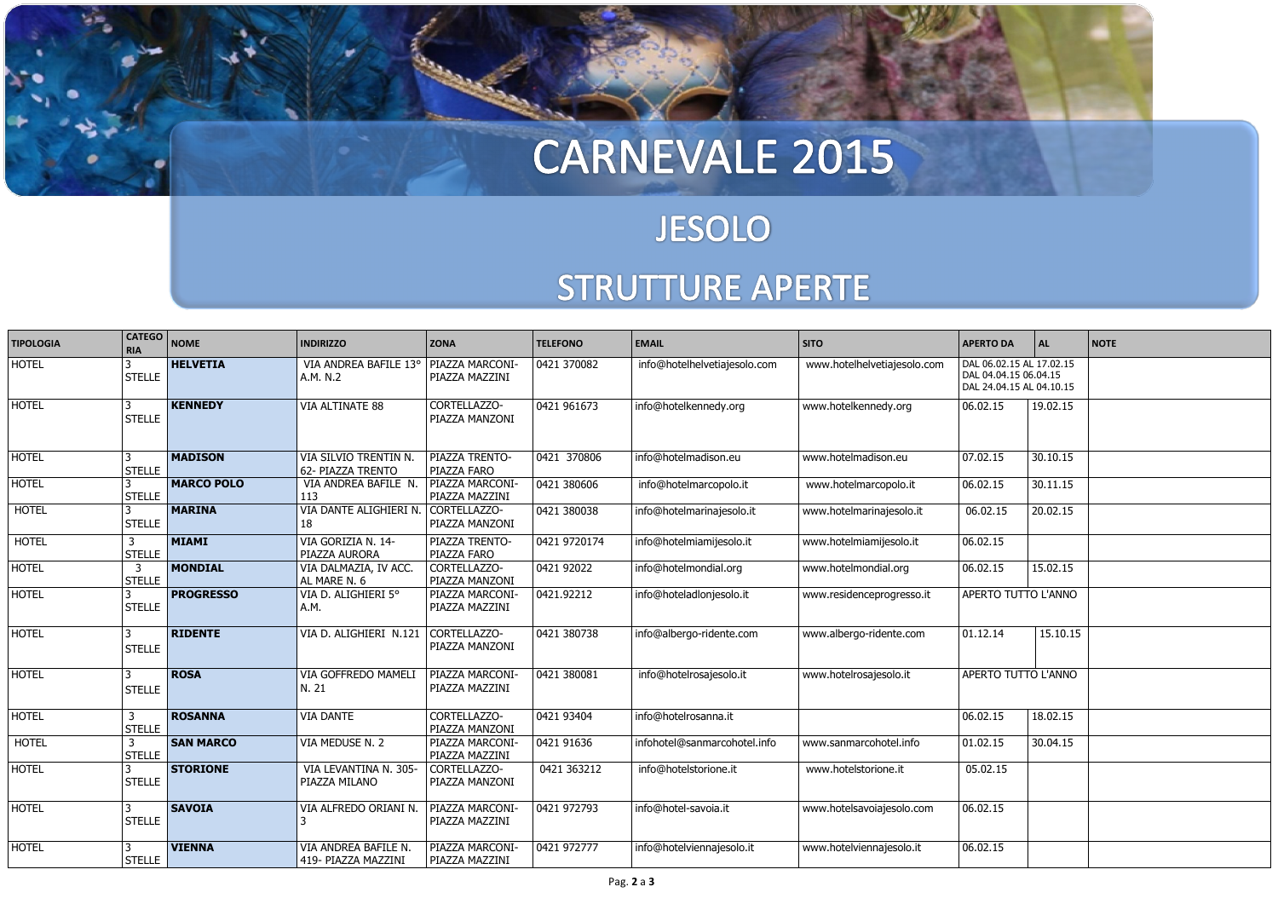# CARNEVALE 2015

#### **JESOLO** STRUTTURE APERTE



| <b>TIPOLOGIA</b> | <b>CATEGO</b><br><b>RIA</b>     | <b>NOME</b>       | <b>INDIRIZZO</b>                            | <b>ZONA</b>                              | <b>TELEFONO</b>    | <b>EMAIL</b>                 | <b>SITO</b>                 | <b>APERTO DA</b>                                                              | AL.      | <b>NOTE</b> |
|------------------|---------------------------------|-------------------|---------------------------------------------|------------------------------------------|--------------------|------------------------------|-----------------------------|-------------------------------------------------------------------------------|----------|-------------|
| <b>HOTEL</b>     | <b>STELLE</b>                   | <b>HELVETIA</b>   | VIA ANDREA BAFILE 13°<br>A.M. N.2           | <b>PIAZZA MARCONI-</b><br>PIAZZA MAZZINI | 0421 370082        | info@hotelhelvetiajesolo.com | www.hotelhelvetiajesolo.com | DAL 06.02.15 AL 17.02.15<br>DAL 04.04.15 06.04.15<br>DAL 24.04.15 AL 04.10.15 |          |             |
| <b>HOTEL</b>     | 3<br><b>STELLE</b>              | <b>KENNEDY</b>    | VIA ALTINATE 88                             | CORTELLAZZO-<br>PIAZZA MANZONI           | 0421 961673        | info@hotelkennedy.org        | www.hotelkennedy.org        | 06.02.15                                                                      | 19.02.15 |             |
| <b>HOTEL</b>     | 3<br><b>STELLE</b>              | <b>MADISON</b>    | VIA SILVIO TRENTIN N.<br>62- PIAZZA TRENTO  | PIAZZA TRENTO-<br>PIAZZA FARO            | 0421 370806        | info@hotelmadison.eu         | www.hotelmadison.eu         | 07.02.15                                                                      | 30.10.15 |             |
| <b>HOTEL</b>     | 3<br><b>STELLE</b>              | <b>MARCO POLO</b> | VIA ANDREA BAFILE N.<br>113                 | <b>PIAZZA MARCONI-</b><br>PIAZZA MAZZINI | 0421 380606        | info@hotelmarcopolo.it       | www.hotelmarcopolo.it       | 06.02.15                                                                      | 30.11.15 |             |
| <b>HOTEL</b>     | 3<br><b>STELLE</b>              | <b>MARINA</b>     | VIA DANTE ALIGHIERI N.<br>18                | CORTELLAZZO-<br>PIAZZA MANZONI           | 0421 380038        | info@hotelmarinajesolo.it    | www.hotelmarinajesolo.it    | 06.02.15                                                                      | 20.02.15 |             |
| <b>HOTEL</b>     | $\mathbf{3}$<br><b>STELLE</b>   | <b>MIAMI</b>      | VIA GORIZIA N. 14-<br>PIAZZA AURORA         | PIAZZA TRENTO-<br>PIAZZA FARO            | 0421 9720174       | info@hotelmiamijesolo.it     | www.hotelmiamijesolo.it     | 06.02.15                                                                      |          |             |
| <b>HOTEL</b>     | $\overline{3}$<br><b>STELLE</b> | <b>MONDIAL</b>    | VIA DALMAZIA, IV ACC.<br>AL MARE N. 6       | CORTELLAZZO-<br>PIAZZA MANZONI           | $\sqrt{042192022}$ | info@hotelmondial.org        | www.hotelmondial.org        | 06.02.15                                                                      | 15.02.15 |             |
| <b>HOTEL</b>     | 3<br><b>STELLE</b>              | <b>PROGRESSO</b>  | VIA D. ALIGHIERI 5°<br>A.M.                 | PIAZZA MARCONI-<br>PIAZZA MAZZINI        | 0421.92212         | info@hoteladlonjesolo.it     | www.residenceprogresso.it   | APERTO TUTTO L'ANNO                                                           |          |             |
| <b>HOTEL</b>     | 3<br><b>STELLE</b>              | <b>RIDENTE</b>    | VIA D. ALIGHIERI N.121                      | CORTELLAZZO-<br>PIAZZA MANZONI           | 0421 380738        | info@albergo-ridente.com     | www.albergo-ridente.com     | 01.12.14                                                                      | 15.10.15 |             |
| <b>HOTEL</b>     | 3<br><b>STELLE</b>              | <b>ROSA</b>       | <b>VIA GOFFREDO MAMELI</b><br>N. 21         | <b>PIAZZA MARCONI-</b><br>PIAZZA MAZZINI | 0421 380081        | info@hotelrosajesolo.it      | www.hotelrosajesolo.it      | APERTO TUTTO L'ANNO                                                           |          |             |
| <b>HOTEL</b>     | $\mathsf{3}$<br><b>STELLE</b>   | <b>ROSANNA</b>    | <b>VIA DANTE</b>                            | CORTELLAZZO-<br>PIAZZA MANZONI           | 0421 93404         | info@hotelrosanna.it         |                             | 06.02.15                                                                      | 18.02.15 |             |
| <b>HOTEL</b>     | $\overline{3}$<br><b>STELLE</b> | <b>SAN MARCO</b>  | VIA MEDUSE N. 2                             | PIAZZA MARCONI-<br>PIAZZA MAZZINI        | 0421 91636         | infohotel@sanmarcohotel.info | www.sanmarcohotel.info      | 01.02.15                                                                      | 30.04.15 |             |
| <b>HOTEL</b>     | 3<br><b>STELLE</b>              | <b>STORIONE</b>   | VIA LEVANTINA N. 305-<br>PIAZZA MILANO      | CORTELLAZZO-<br>PIAZZA MANZONI           | 0421 363212        | info@hotelstorione.it        | www.hotelstorione.it        | 05.02.15                                                                      |          |             |
| <b>HOTEL</b>     | $\mathbf{3}$<br><b>STELLE</b>   | <b>SAVOIA</b>     | VIA ALFREDO ORIANI N.<br>3                  | PIAZZA MARCONI-<br>PIAZZA MAZZINI        | 0421 972793        | info@hotel-savoia.it         | www.hotelsavoiajesolo.com   | 06.02.15                                                                      |          |             |
| <b>HOTEL</b>     | 3<br><b>STELLE</b>              | <b>VIENNA</b>     | VIA ANDREA BAFILE N.<br>419- PIAZZA MAZZINI | PIAZZA MARCONI-<br>PIAZZA MAZZINI        | 0421 972777        | info@hotelviennajesolo.it    | www.hotelviennajesolo.it    | 06.02.15                                                                      |          |             |